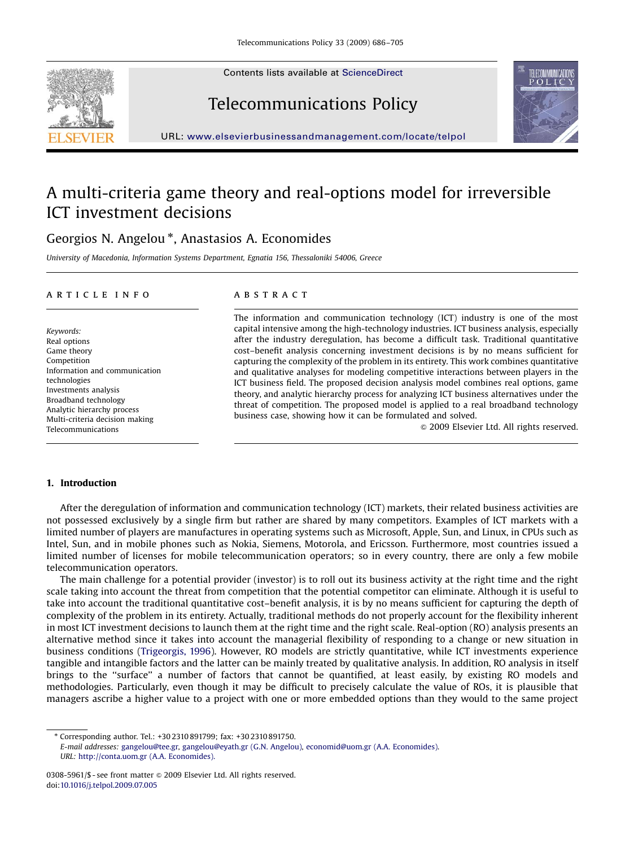Contents lists available at [ScienceDirect](www.sciencedirect.com/science/journal/jtpo)







URL: <www.elsevierbusinessandmanagement.com/locate/telpol>

# A multi-criteria game theory and real-options model for irreversible ICT investment decisions

## Georgios N. Angelou<sup>\*</sup>, Anastasios A. Economides

University of Macedonia, Information Systems Department, Egnatia 156, Thessaloniki 54006, Greece

#### article info

Keywords: Real options Game theory Competition Information and communication technologies Investments analysis Broadband technology Analytic hierarchy process Multi-criteria decision making Telecommunications

## **ABSTRACT**

The information and communication technology (ICT) industry is one of the most capital intensive among the high-technology industries. ICT business analysis, especially after the industry deregulation, has become a difficult task. Traditional quantitative cost–benefit analysis concerning investment decisions is by no means sufficient for capturing the complexity of the problem in its entirety. This work combines quantitative and qualitative analyses for modeling competitive interactions between players in the ICT business field. The proposed decision analysis model combines real options, game theory, and analytic hierarchy process for analyzing ICT business alternatives under the threat of competition. The proposed model is applied to a real broadband technology business case, showing how it can be formulated and solved.

 $\odot$  2009 Elsevier Ltd. All rights reserved.

### 1. Introduction

After the deregulation of information and communication technology (ICT) markets, their related business activities are not possessed exclusively by a single firm but rather are shared by many competitors. Examples of ICT markets with a limited number of players are manufactures in operating systems such as Microsoft, Apple, Sun, and Linux, in CPUs such as Intel, Sun, and in mobile phones such as Nokia, Siemens, Motorola, and Ericsson. Furthermore, most countries issued a limited number of licenses for mobile telecommunication operators; so in every country, there are only a few mobile telecommunication operators.

The main challenge for a potential provider (investor) is to roll out its business activity at the right time and the right scale taking into account the threat from competition that the potential competitor can eliminate. Although it is useful to take into account the traditional quantitative cost–benefit analysis, it is by no means sufficient for capturing the depth of complexity of the problem in its entirety. Actually, traditional methods do not properly account for the flexibility inherent in most ICT investment decisions to launch them at the right time and the right scale. Real-option (RO) analysis presents an alternative method since it takes into account the managerial flexibility of responding to a change or new situation in business conditions ([Trigeorgis, 1996\)](#page--1-0). However, RO models are strictly quantitative, while ICT investments experience tangible and intangible factors and the latter can be mainly treated by qualitative analysis. In addition, RO analysis in itself brings to the ''surface'' a number of factors that cannot be quantified, at least easily, by existing RO models and methodologies. Particularly, even though it may be difficult to precisely calculate the value of ROs, it is plausible that managers ascribe a higher value to a project with one or more embedded options than they would to the same project

<sup>-</sup> Corresponding author. Tel.: +30 2310 891799; fax: +30 2310 891750.

E-mail addresses: [gangelou@tee.gr,](mailto:gangelou@tee.gr,) [gangelou@eyath.gr \(G.N. Angelou\),](mailto:gangelou@eyath.gr) [economid@uom.gr \(A.A. Economides\).](mailto:economid@uom.gr) URL: [http://conta.uom.gr \(A.A. Economides\).](http://conta.uom.gr)

<sup>0308-5961/\$ -</sup> see front matter  $\circ$  2009 Elsevier Ltd. All rights reserved. doi:[10.1016/j.telpol.2009.07.005](dx.doi.org/10.1016/j.telpol.2009.07.005)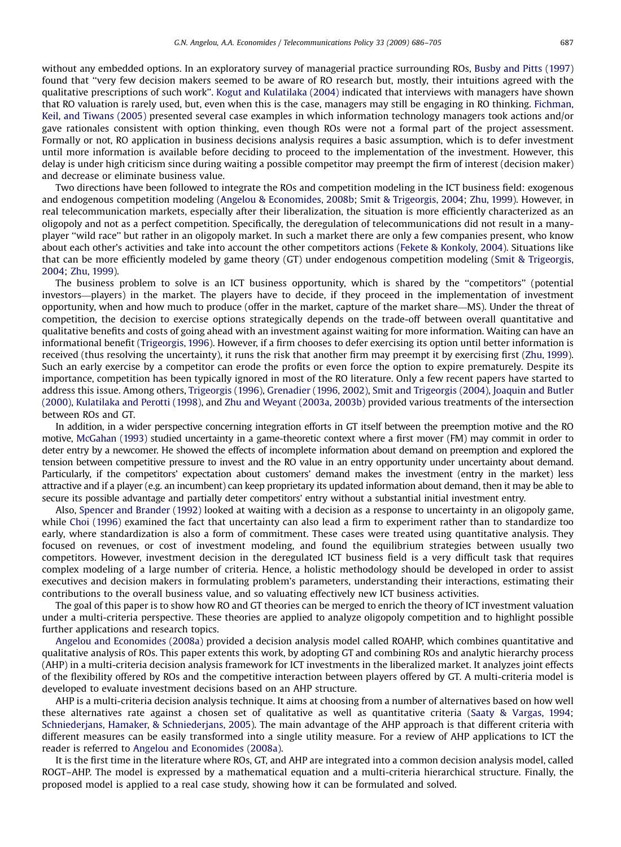without any embedded options. In an exploratory survey of managerial practice surrounding ROs, [Busby and Pitts \(1997\)](#page--1-0) found that ''very few decision makers seemed to be aware of RO research but, mostly, their intuitions agreed with the qualitative prescriptions of such work''. [Kogut and Kulatilaka \(2004\)](#page--1-0) indicated that interviews with managers have shown that RO valuation is rarely used, but, even when this is the case, managers may still be engaging in RO thinking. [Fichman,](#page--1-0) [Keil, and Tiwans \(2005\)](#page--1-0) presented several case examples in which information technology managers took actions and/or gave rationales consistent with option thinking, even though ROs were not a formal part of the project assessment. Formally or not, RO application in business decisions analysis requires a basic assumption, which is to defer investment until more information is available before deciding to proceed to the implementation of the investment. However, this delay is under high criticism since during waiting a possible competitor may preempt the firm of interest (decision maker) and decrease or eliminate business value.

Two directions have been followed to integrate the ROs and competition modeling in the ICT business field: exogenous and endogenous competition modeling [\(Angelou](#page--1-0) [& Economides, 2008b;](#page--1-0) [Smit](#page--1-0) [& Trigeorgis, 2004;](#page--1-0) [Zhu, 1999\)](#page--1-0). However, in real telecommunication markets, especially after their liberalization, the situation is more efficiently characterized as an oligopoly and not as a perfect competition. Specifically, the deregulation of telecommunications did not result in a manyplayer ''wild race'' but rather in an oligopoly market. In such a market there are only a few companies present, who know about each other's activities and take into account the other competitors actions [\(Fekete](#page--1-0) & [Konkoly, 2004](#page--1-0)). Situations like that can be more efficiently modeled by game theory (GT) under endogenous competition modeling ([Smit & Trigeorgis,](#page--1-0) [2004](#page--1-0); [Zhu, 1999\)](#page--1-0).

The business problem to solve is an ICT business opportunity, which is shared by the ''competitors'' (potential investors—players) in the market. The players have to decide, if they proceed in the implementation of investment opportunity, when and how much to produce (offer in the market, capture of the market share—MS). Under the threat of competition, the decision to exercise options strategically depends on the trade-off between overall quantitative and qualitative benefits and costs of going ahead with an investment against waiting for more information. Waiting can have an informational benefit [\(Trigeorgis, 1996\)](#page--1-0). However, if a firm chooses to defer exercising its option until better information is received (thus resolving the uncertainty), it runs the risk that another firm may preempt it by exercising first ([Zhu, 1999](#page--1-0)). Such an early exercise by a competitor can erode the profits or even force the option to expire prematurely. Despite its importance, competition has been typically ignored in most of the RO literature. Only a few recent papers have started to address this issue. Among others, [Trigeorgis \(1996\)](#page--1-0), [Grenadier \(1996, 2002\),](#page--1-0) [Smit and Trigeorgis \(2004\)](#page--1-0), [Joaquin and Butler](#page--1-0) [\(2000\),](#page--1-0) [Kulatilaka and Perotti \(1998\),](#page--1-0) and [Zhu and Weyant \(2003a, 2003b\)](#page--1-0) provided various treatments of the intersection between ROs and GT.

In addition, in a wider perspective concerning integration efforts in GT itself between the preemption motive and the RO motive, [McGahan \(1993\)](#page--1-0) studied uncertainty in a game-theoretic context where a first mover (FM) may commit in order to deter entry by a newcomer. He showed the effects of incomplete information about demand on preemption and explored the tension between competitive pressure to invest and the RO value in an entry opportunity under uncertainty about demand. Particularly, if the competitors' expectation about customers' demand makes the investment (entry in the market) less attractive and if a player (e.g. an incumbent) can keep proprietary its updated information about demand, then it may be able to secure its possible advantage and partially deter competitors' entry without a substantial initial investment entry.

Also, [Spencer and Brander \(1992\)](#page--1-0) looked at waiting with a decision as a response to uncertainty in an oligopoly game, while [Choi \(1996\)](#page--1-0) examined the fact that uncertainty can also lead a firm to experiment rather than to standardize too early, where standardization is also a form of commitment. These cases were treated using quantitative analysis. They focused on revenues, or cost of investment modeling, and found the equilibrium strategies between usually two competitors. However, investment decision in the deregulated ICT business field is a very difficult task that requires complex modeling of a large number of criteria. Hence, a holistic methodology should be developed in order to assist executives and decision makers in formulating problem's parameters, understanding their interactions, estimating their contributions to the overall business value, and so valuating effectively new ICT business activities.

The goal of this paper is to show how RO and GT theories can be merged to enrich the theory of ICT investment valuation under a multi-criteria perspective. These theories are applied to analyze oligopoly competition and to highlight possible further applications and research topics.

[Angelou and Economides \(2008a\)](#page--1-0) provided a decision analysis model called ROAHP, which combines quantitative and qualitative analysis of ROs. This paper extents this work, by adopting GT and combining ROs and analytic hierarchy process (AHP) in a multi-criteria decision analysis framework for ICT investments in the liberalized market. It analyzes joint effects of the flexibility offered by ROs and the competitive interaction between players offered by GT. A multi-criteria model is developed to evaluate investment decisions based on an AHP structure.

AHP is a multi-criteria decision analysis technique. It aims at choosing from a number of alternatives based on how well these alternatives rate against a chosen set of qualitative as well as quantitative criteria [\(Saaty & Vargas, 1994](#page--1-0); [Schniederjans, Hamaker, & Schniederjans, 2005](#page--1-0)). The main advantage of the AHP approach is that different criteria with different measures can be easily transformed into a single utility measure. For a review of AHP applications to ICT the reader is referred to [Angelou and Economides \(2008a\).](#page--1-0)

It is the first time in the literature where ROs, GT, and AHP are integrated into a common decision analysis model, called ROGT–AHP. The model is expressed by a mathematical equation and a multi-criteria hierarchical structure. Finally, the proposed model is applied to a real case study, showing how it can be formulated and solved.